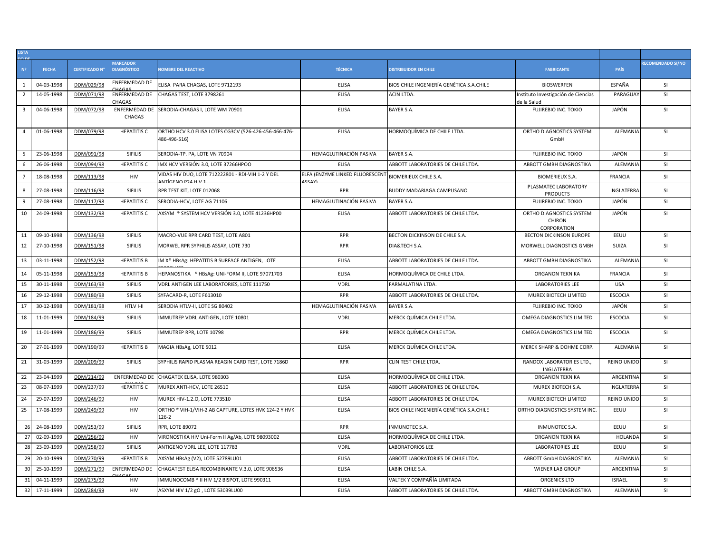| LISTA<br>DO DE |              |                       |                                       |                                                                                |                                 |                                          |                                                          |                    |                   |
|----------------|--------------|-----------------------|---------------------------------------|--------------------------------------------------------------------------------|---------------------------------|------------------------------------------|----------------------------------------------------------|--------------------|-------------------|
| N <sup>2</sup> | <b>FECHA</b> | <b>CERTIFICADO N°</b> | <b>MARCADOR</b><br><b>DIAGNÓSTICO</b> | <b>NOMBRE DEL REACTIVO</b>                                                     | <b>TÉCNICA</b>                  | <b>DISTRIBUIDOR EN CHILE</b>             | <b>FABRICANTE</b>                                        | <b>PAÍS</b>        | RECOMENDADO SI/NO |
| 1              | 04-03-1998   | DDM/029/98            | ENFERMEDAD DE                         | ELISA PARA CHAGAS, LOTE 9712193                                                | <b>ELISA</b>                    | BIOS CHILE INGENIERÍA GENÉTICA S.A.CHILE | <b>BIOSWERFEN</b>                                        | ESPAÑA             | <b>SI</b>         |
| $\overline{2}$ | 14-05-1998   | DDM/071/98            | ENFERMEDAD DE<br>CHAGAS               | CHAGAS TEST, LOTE 3798261                                                      | <b>ELISA</b>                    | <b>ACIN LTDA.</b>                        | Instituto Investigación de Ciencias<br>de la Salud       | PARAGUAY           | SI                |
| $\overline{3}$ | 04-06-1998   | DDM/072/98            | CHAGAS                                | ENFERMEDAD DE SERODIA-CHAGAS I, LOTE WM 70901                                  | <b>ELISA</b>                    | <b>BAYER S.A.</b>                        | FUJIREBIO INC. TOKIO                                     | JAPÓN              | SI                |
| $\overline{4}$ | 01-06-1998   | DDM/079/98            | <b>HEPATITIS C</b>                    | ORTHO HCV 3.0 ELISA LOTES CG3CV (526-426-456-466-476-<br>486-496-516)          | <b>ELISA</b>                    | HORMOQUÍMICA DE CHILE LTDA.              | ORTHO DIAGNOSTICS SYSTEM<br>GmbH                         | ALEMANIA           | <b>SI</b>         |
| 5              | 23-06-1998   | DDM/091/98            | <b>SIFILIS</b>                        | SERODIA-TP. PA, LOTE VN 70904                                                  | HEMAGLUTINACIÓN PASIVA          | <b>BAYER S.A.</b>                        | <b>FUJIREBIO INC. TOKIO</b>                              | JAPÓN              | <b>SI</b>         |
| 6              | 26-06-1998   | DDM/094/98            | <b>HEPATITIS C</b>                    | IMX HCV VERSIÓN 3.0, LOTE 37266HPOO                                            | <b>ELISA</b>                    | ABBOTT LABORATORIES DE CHILE LTDA.       | ABBOTT GMBH DIAGNOSTIKA                                  | ALEMANIA           | SI                |
| $\overline{7}$ | 18-08-1998   | DDM/113/98            | HIV                                   | VIDAS HIV DUO, LOTE 712222801 - RDI-VIH 1-2 Y DEL<br><b>NITÍCENO DO 4 UN 4</b> | ELFA (ENZYME LINKED FLUORESCENT | <b>BIOMERIEUX CHILE S.A.</b>             | <b>BIOMERIEUX S.A.</b>                                   | <b>FRANCIA</b>     | <b>SI</b>         |
| 8              | 27-08-1998   | DDM/116/98            | SIFILIS                               | RPR TEST KIT, LOTE 012068                                                      | <b>RPR</b>                      | BUDDY MADARIAGA CAMPUSANO                | PLASMATEC LABORATORY<br><b>PRODUCTS</b>                  | <b>INGLATERRA</b>  | SI                |
| 9              | 27-08-1998   | DDM/117/98            | <b>HEPATITIS C</b>                    | SERODIA-HCV, LOTE AG 71106                                                     | HEMAGLUTINACIÓN PASIVA          | <b>BAYER S.A.</b>                        | <b>FUJIREBIO INC. TOKIO</b>                              | JAPÓN              | <b>SI</b>         |
| 10             | 24-09-1998   | DDM/132/98            | <b>HEPATITIS C</b>                    | AXSYM ® SYSTEM HCV VERSIÓN 3.0, LOTE 41236HP00                                 | <b>ELISA</b>                    | ABBOTT LABORATORIES DE CHILE LTDA        | ORTHO DIAGNOSTICS SYSTEM<br><b>CHIRON</b><br>CORPORATION | JAPÓN              | SI                |
| 11             | 09-10-1998   | DDM/136/98            | SIFILIS                               | MACRO-VUE RPR CARD TEST, LOTE A801                                             | <b>RPR</b>                      | BECTON DICKINSON DE CHILE S.A.           | BECTON DICKINSON EUROPE                                  | EEUU               | SI                |
| 12             | 27-10-1998   | DDM/151/98            | SIFILIS                               | MORWEL RPR SYPHILIS ASSAY, LOTE 730                                            | <b>RPR</b>                      | DIA&TECH S.A.                            | MORWELL DIAGNOSTICS GMBH                                 | SUIZA              | <b>SI</b>         |
| 13             | 03-11-1998   | DDM/152/98            | <b>HEPATITIS B</b>                    | IM X® HBsAg: HEPATITIS B SURFACE ANTIGEN, LOTE                                 | <b>ELISA</b>                    | ABBOTT LABORATORIES DE CHILE LTDA.       | ABBOTT GMBH DIAGNOSTIKA                                  | ALEMANIA           | <b>SI</b>         |
| 14             | 05-11-1998   | DDM/153/98            | <b>HEPATITIS B</b>                    | HEPANOSTIKA ® HBsAg: UNI-FORM II, LOTE 97071703                                | <b>ELISA</b>                    | HORMOQUÍMICA DE CHILE LTDA.              | <b>ORGANON TEKNIKA</b>                                   | <b>FRANCIA</b>     | SI                |
| 15             | 30-11-1998   | DDM/163/98            | SIFILIS                               | VDRL ANTIGEN LEE LABORATORIES, LOTE 111750                                     | <b>VDRL</b>                     | FARMALATINA LTDA.                        | <b>LABORATORIES LEE</b>                                  | <b>USA</b>         | <b>SI</b>         |
| 16             | 29-12-1998   | DDM/180/98            | SIFILIS                               | SYFACARD-R, LOTE F613010                                                       | <b>RPR</b>                      | ABBOTT LABORATORIES DE CHILE LTDA.       | MUREX BIOTECH LIMITED                                    | <b>ESCOCIA</b>     | <b>SI</b>         |
| 17             | 30-12-1998   | DDM/181/98            | HTLV I-II                             | SERODIA HTLV-II, LOTE SG 80402                                                 | HEMAGLUTINACIÓN PASIVA          | <b>BAYER S.A.</b>                        | FUJIREBIO INC. TOKIO                                     | JAPÓN              | SI                |
| 18             | 11-01-1999   | DDM/184/99            | <b>SIFILIS</b>                        | IMMUTREP VDRL ANTIGEN, LOTE 10801                                              | <b>VDRL</b>                     | MERCK QUÍMICA CHILE LTDA.                | OMEGA DIAGNOSTICS LIMITED                                | <b>ESCOCIA</b>     | SI                |
| 19             | 11-01-1999   | DDM/186/99            | SIFILIS                               | IMMUTREP RPR, LOTE 10798                                                       | <b>RPR</b>                      | MERCK QUÍMICA CHILE LTDA.                | OMEGA DIAGNOSTICS LIMITED                                | <b>ESCOCIA</b>     | SI                |
| 20             | 27-01-1999   | DDM/190/99            | <b>HEPATITIS B</b>                    | MAGIA HBsAg, LOTE 5012                                                         | <b>ELISA</b>                    | MERCK QUÍMICA CHILE LTDA.                | MERCK SHARP & DOHME CORP.                                | ALEMANIA           | <b>SI</b>         |
| 21             | 31-03-1999   | DDM/209/99            | SIFILIS                               | SYPHILIS RAPID PLASMA REAGIN CARD TEST, LOTE 7186D                             | <b>RPR</b>                      | CLINITEST CHILE LTDA.                    | RANDOX LABORATORIES LTD.,<br>INGLATERRA                  | <b>REINO UNIDO</b> | <b>SI</b>         |
| 22             | 23-04-1999   | DDM/214/99            | ENFERMEDAD DE                         | CHAGATEK ELISA, LOTE 980303                                                    | <b>ELISA</b>                    | HORMOQUÍMICA DE CHILE LTDA.              | ORGANON TEKNIKA                                          | ARGENTINA          | SI                |
| 23             | 08-07-1999   | DDM/237/99            | <b>HEPATITIS C</b>                    | MUREX ANTI-HCV, LOTE 26510                                                     | <b>ELISA</b>                    | ABBOTT LABORATORIES DE CHILE LTDA.       | MUREX BIOTECH S.A.                                       | <b>INGLATERRA</b>  | SI                |
| 24             | 29-07-1999   | DDM/246/99            | HIV                                   | MUREX HIV-1.2.0, LOTE 773510                                                   | <b>ELISA</b>                    | ABBOTT LABORATORIES DE CHILE LTDA.       | MUREX BIOTECH LIMITED                                    | <b>REINO UNIDO</b> | SI                |
| 25             | 17-08-1999   | DDM/249/99            | <b>HIV</b>                            | ORTHO ® VIH-1/VIH-2 AB CAPTURE, LOTES HVK 124-2 Y HVK<br>126-2                 | <b>ELISA</b>                    | BIOS CHILE INGENIERÍA GENÉTICA S.A.CHILE | ORTHO DIAGNOSTICS SYSTEM INC.                            | EEUU               | <b>SI</b>         |
| 26             | 24-08-1999   | DDM/253/99            | SIFILIS                               | <b>RPR, LOTE 89072</b>                                                         | <b>RPR</b>                      | <b>INMUNOTEC S.A.</b>                    | INMUNOTEC S.A.                                           | EEUU               | SI                |
| 27             | 02-09-1999   | DDM/256/99            | HIV                                   | VIRONOSTIKA HIV Uni-Form II Ag/Ab, LOTE 98093002                               | <b>ELISA</b>                    | HORMOQUÍMICA DE CHILE LTDA.              | ORGANON TEKNIKA                                          | HOLANDA            | SI                |
| 28             | 23-09-1999   | DDM/258/99            | SIFILIS                               | ANTIGENO VDRL LEE, LOTE 117783                                                 | <b>VDRL</b>                     | <b>LABORATORIOS LEE</b>                  | <b>LABORATORIES LEE</b>                                  | EEUU               | SI                |
| 29             | 20-10-1999   | DDM/270/99            | <b>HEPATITIS B</b>                    | AXSYM HBsAg (V2), LOTE 52789LU01                                               | <b>ELISA</b>                    | ABBOTT LABORATORIES DE CHILE LTDA.       | ABBOTT GmbH DIAGNOSTIKA                                  | ALEMANIA           | <b>SI</b>         |
| 30             | 25-10-1999   | DDM/271/99            | ENFERMEDAD DE                         | CHAGATEST ELISA RECOMBINANTE V.3.0, LOTE 906536                                | <b>ELISA</b>                    | LABIN CHILE S.A.                         | <b>WIENER LAB GROUP</b>                                  | ARGENTINA          | SI                |
| 31             | 04-11-1999   | DDM/275/99            | HIV                                   | IMMUNOCOMB ® II HIV 1/2 BISPOT, LOTE 990311                                    | <b>ELISA</b>                    | VALTEK Y COMPAÑÍA LIMITADA               | ORGENICS LTD                                             | <b>ISRAEL</b>      | <b>SI</b>         |
| 32             | 17-11-1999   | DDM/284/99            | <b>HIV</b>                            | ASXYM HIV 1/2 gO, LOTE 53039LU00                                               | <b>ELISA</b>                    | ABBOTT LABORATORIES DE CHILE LTDA.       | ABBOTT GMBH DIAGNOSTIKA                                  | ALEMANIA           | <b>SI</b>         |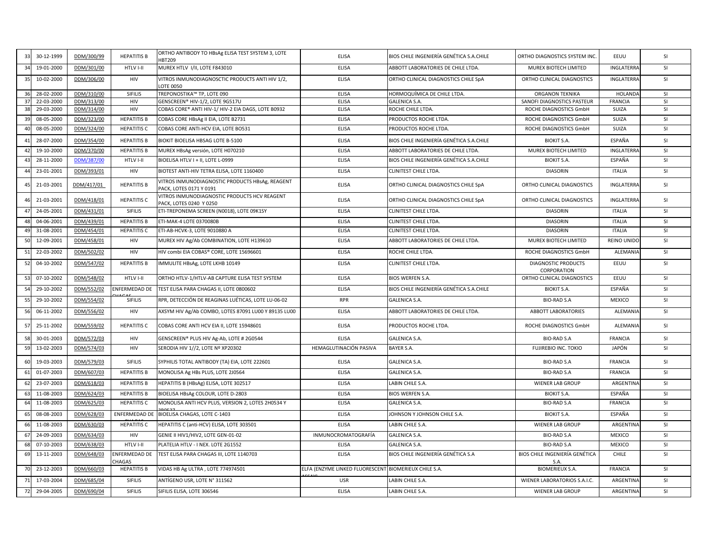| 33           | 30-12-1999 | DDM/300/99 | <b>HEPATITIS B</b>      | ORTHO ANTIBODY TO HBsAg ELISA TEST SYSTEM 3, LOTE<br><b>HBT209</b>         | <b>ELISA</b>                                          | BIOS CHILE INGENIERÍA GENÉTICA S.A.CHILE | ORTHO DIAGNOSTICS SYSTEM INC.             | EEUU               | SI        |
|--------------|------------|------------|-------------------------|----------------------------------------------------------------------------|-------------------------------------------------------|------------------------------------------|-------------------------------------------|--------------------|-----------|
| 34           | 19-01-2000 | DDM/301/00 | HTLV I-II               | MUREX HTLV I/II, LOTE F843010                                              | <b>ELISA</b>                                          | ABBOTT LABORATORIES DE CHILE LTDA        | MUREX BIOTECH LIMITED                     | INGLATERRA         | <b>SI</b> |
| 35           | 10-02-2000 | DDM/306/00 | HIV                     | VITROS INMUNODIAGNOSCTIC PRODUCTS ANTI HIV 1/2,<br><b>LOTE 0050</b>        | <b>ELISA</b>                                          | ORTHO CLINICAL DIAGNOSTICS CHILE SpA     | ORTHO CLINICAL DIAGNOSTICS                | INGLATERRA         | <b>SI</b> |
| 36           | 28-02-2000 | DDM/310/00 | <b>SIFILIS</b>          | TREPONOSTIKA™ TP, LOTE 090                                                 | <b>ELISA</b>                                          | HORMOQUÍMICA DE CHILE LTDA.              | <b>ORGANON TEKNIKA</b>                    | <b>HOLANDA</b>     | <b>SI</b> |
|              | 22-03-2000 | DDM/313/00 | HIV                     | GENSCREEN® HIV-1/2, LOTE 9G517U                                            | <b>ELISA</b>                                          | <b>GALENICA S.A.</b>                     | SANOFI DIAGNOSTICS PASTEUR                | <b>FRANCIA</b>     | SI        |
| 38           | 29-03-2000 | DDM/314/00 | HIV                     | COBAS CORE® ANTI HIV-1/ HIV-2 EIA DAGS, LOTE B0932                         | <b>ELISA</b>                                          | ROCHE CHILE LTDA.                        | ROCHE DIAGNOSTICS GmbH                    | SUIZA              | SI        |
|              | 08-05-2000 | DDM/323/00 | <b>HEPATITIS B</b>      | COBAS CORE HBsAg II EIA, LOTE B2731                                        | <b>ELISA</b>                                          | PRODUCTOS ROCHE LTDA.                    | ROCHE DIAGNOSTICS GmbH                    | SUIZA              | <b>SI</b> |
| $\Delta$     | 08-05-2000 | DDM/324/00 | <b>HEPATITIS C</b>      | COBAS CORE ANTI-HCV EIA, LOTE BO531                                        | ELISA                                                 | PRODUCTOS ROCHE LTDA.                    | ROCHE DIAGNOSTICS GmbH                    | SUIZA              | <b>SI</b> |
|              | 28-07-2000 | DDM/354/00 | <b>HEPATITIS B</b>      | BIOKIT BIOELISA HBSAG LOTE B-5100                                          | <b>ELISA</b>                                          | BIOS CHILE INGENIERÍA GENÉTICA S.A.CHILE | <b>BIOKIT S.A.</b>                        | ESPAÑA             | SI        |
| 42           | 19-10-2000 | DDM/370/00 | <b>HEPATITIS B</b>      | MUREX HBsAg versión, LOTE H070210                                          | <b>ELISA</b>                                          | ABBOTT LABORATORIES DE CHILE LTDA.       | MUREX BIOTECH LIMITED                     | INGLATERRA         | SI        |
|              | 28-11-2000 | DDM/387/00 | HTLV I-II               | BIOELISA HTLV I + II, LOTE L-0999                                          | <b>ELISA</b>                                          | BIOS CHILE INGENIERÍA GENÉTICA S.A.CHILE | <b>BIOKIT S.A.</b>                        | ESPAÑA             | <b>SI</b> |
|              | 23-01-2001 | DDM/393/01 | <b>HIV</b>              | BIOTEST ANTI-HIV TETRA ELISA, LOTE 1160400                                 | <b>ELISA</b>                                          | CLINITEST CHILE LTDA.                    | <b>DIASORIN</b>                           | <b>ITALIA</b>      | SI        |
|              | 21-03-2001 | DDM/417/01 | <b>HEPATITIS B</b>      | VITROS INMUNODIAGNOSTIC PRODUCTS HBsAg, REAGENT<br>PACK, LOTES 0171 Y 0191 | <b>ELISA</b>                                          | ORTHO CLINICAL DIAGNOSTICS CHILE SpA     | ORTHO CLINICAL DIAGNOSTICS                | INGLATERRA         | SI        |
|              | 21-03-2001 | DDM/418/01 | <b>HEPATITIS C</b>      | VITROS INMUNODIAGNOSTIC PRODUCTS HCV REAGENT<br>PACK, LOTES 0240 Y 0250    | ELISA                                                 | ORTHO CLINICAL DIAGNOSTICS CHILE SpA     | ORTHO CLINICAL DIAGNOSTICS                | INGLATERRA         | SI        |
| $\mathbf{A}$ | 24-05-2001 | DDM/431/01 | <b>SIFILIS</b>          | ETI-TREPONEMA SCREEN (N0018), LOTE 09K1SY                                  | <b>ELISA</b>                                          | CLINITEST CHILE LTDA.                    | <b>DIASORIN</b>                           | <b>ITALIA</b>      | <b>SI</b> |
|              | 04-06-2001 | DDM/439/01 | <b>HEPATITIS B</b>      | ETI-MAK-4 LOTE 0370080B                                                    | <b>ELISA</b>                                          | <b>CLINITEST CHILE LTDA.</b>             | <b>DIASORIN</b>                           | <b>ITALIA</b>      | <b>SI</b> |
|              | 31-08-2001 | DDM/454/01 | <b>HEPATITIS C</b>      | ETI-AB-HCVK-3, LOTE 9010880 A                                              | <b>ELISA</b>                                          | CLINITEST CHILE LTDA.                    | <b>DIASORIN</b>                           | <b>ITALIA</b>      | SI        |
| 50           | 12-09-2001 | DDM/458/01 | HIV                     | MUREX HIV Ag/Ab COMBINATION, LOTE H139610                                  | <b>ELISA</b>                                          | ABBOTT LABORATORIES DE CHILE LTDA.       | MUREX BIOTECH LIMITED                     | <b>REINO UNIDO</b> | SI        |
| 51           | 22-03-2002 | DDM/502/02 | HIV                     | HIV combi EIA COBAS® CORE, LOTE 15696601                                   | <b>ELISA</b>                                          | ROCHE CHILE LTDA.                        | ROCHE DIAGNOSTICS GmbH                    | ALEMANIA           | <b>SI</b> |
| 52           | 04-10-2002 | DDM/547/02 | <b>HEPATITIS B</b>      | IMMULITE HBsAg, LOTE LKHB 10149                                            | <b>ELISA</b>                                          | <b>CLINITEST CHILE LTDA.</b>             | <b>DIAGNOSTIC PRODUCTS</b><br>CORPORATION | EEUU               | <b>SI</b> |
| 53           | 07-10-2002 | DDM/548/02 | HTLV I-II               | ORTHO HTLV-1/HTLV-AB CAPTURE ELISA TEST SYSTEM                             | <b>ELISA</b>                                          | <b>BIOS WERFEN S.A.</b>                  | ORTHO CLINICAL DIAGNOSTICS                | EEUU               | SI        |
|              | 29-10-2002 | DDM/552/02 | <b>INFERMEDAD DE</b>    | TEST ELISA PARA CHAGAS II, LOTE 0800602                                    | <b>ELISA</b>                                          | BIOS CHILE INGENIERÍA GENÉTICA S.A.CHILE | <b>BIOKIT S.A.</b>                        | ESPAÑA             | SI        |
| 55           | 29-10-2002 | DDM/554/02 | SIFILIS                 | RPR, DETECCIÓN DE REAGINAS LUÉTICAS, LOTE LU-06-02                         | <b>RPR</b>                                            | <b>GALENICA S.A.</b>                     | <b>BIO-RAD S.A</b>                        | <b>MEXICO</b>      | <b>SI</b> |
| 56           | 06-11-2002 | DDM/556/02 | HIV                     | AXSYM HIV Ag/Ab COMBO, LOTES 87091 LU00 Y 89135 LU00                       | <b>ELISA</b>                                          | ABBOTT LABORATORIES DE CHILE LTDA        | <b>ABBOTT LABORATORIES</b>                | ALEMANIA           | <b>SI</b> |
| 57           | 25-11-2002 | DDM/559/02 | <b>HEPATITIS C</b>      | COBAS CORE ANTI HCV EIA II, LOTE 15948601                                  | <b>ELISA</b>                                          | PRODUCTOS ROCHE LTDA.                    | ROCHE DIAGNOSTICS GmbH                    | ALEMANIA           | SI        |
| 58           | 30-01-2003 | DDM/572/03 | <b>HIV</b>              | GENSCREEN® PLUS HIV Ag-Ab, LOTE # 2G0544                                   | <b>ELISA</b>                                          | <b>GALENICA S.A.</b>                     | <b>BIO-RAD S.A</b>                        | <b>FRANCIA</b>     | SI        |
| 59           | 13-02-2003 | DDM/574/03 | HIV                     | SERODIA HIV 1//2, LOTE Nº XP20302                                          | HEMAGLUTINACIÓN PASIVA                                | <b>BAYER S.A.</b>                        | <b>FUJIREBIO INC. TOKIO</b>               | JAPÓN              | <b>SI</b> |
| 60           | 19-03-2003 | DDM/579/03 | SIFILIS                 | SYPHILIS TOTAL ANTIBODY (TA) EIA, LOTE 222601                              | <b>ELISA</b>                                          | GALENICA S.A.                            | <b>BIO-RAD S.A</b>                        | <b>FRANCIA</b>     | SI        |
| 61           | 01-07-2003 | DDM/607/03 | <b>HEPATITIS B</b>      | MONOLISA Ag HBs PLUS, LOTE 2J0564                                          | <b>ELISA</b>                                          | <b>GALENICA S.A.</b>                     | <b>BIO-RAD S.A</b>                        | <b>FRANCIA</b>     | SI        |
| 62           | 23-07-2003 | DDM/618/03 | <b>HEPATITIS B</b>      | HEPATITIS B (HBsAg) ELISA, LOTE 302517                                     | <b>ELISA</b>                                          | LABIN CHILE S.A.                         | WIENER LAB GROUP                          | <b>ARGENTINA</b>   | SI        |
| 63           | 11-08-2003 | DDM/624/03 | <b>HEPATITIS B</b>      | BIOELISA HBsAg COLOUR, LOTE D-2803                                         | <b>ELISA</b>                                          | <b>BIOS WERFEN S.A.</b>                  | <b>BIOKIT S.A.</b>                        | ESPAÑA             | SI        |
|              | 11-08-2003 | DDM/625/03 | <b>HEPATITIS C</b>      | MONOLISA ANTI HCV PLUS, VERSION 2, LOTES 2H0534 Y                          | <b>ELISA</b>                                          | GALENICA S.A.                            | <b>BIO-RAD S.A</b>                        | <b>FRANCIA</b>     | SI        |
| 65           | 08-08-2003 | DDM/628/03 | <b>ENFERMEDAD DE</b>    | BIOELISA CHAGAS, LOTE C-1403                                               | <b>ELISA</b>                                          | JOHNSON Y JOHNSON CHILE S.A.             | <b>BIOKIT S.A.</b>                        | ESPAÑA             | <b>SI</b> |
|              | 11-08-2003 | DDM/630/03 | <b>HEPATITIS C</b>      | HEPATITIS C (anti-HCV) ELISA, LOTE 303501                                  | <b>ELISA</b>                                          | LABIN CHILE S.A.                         | <b>WIENER LAB GROUP</b>                   | ARGENTINA          | SI        |
| 67           | 24-09-2003 | DDM/634/03 | <b>HIV</b>              | GENIE II HIV1/HIV2, LOTE GEN-01-02                                         | INMUNOCROMATOGRAFÍA                                   | <b>GALENICA S.A.</b>                     | <b>BIO-RAD S.A</b>                        | <b>MEXICO</b>      | SI        |
|              | 07-10-2003 | DDM/638/03 | HTLV I-II               | PLATELIA HTLV - I NEX. LOTE 2G1552                                         | <b>ELISA</b>                                          | <b>GALENICA S.A.</b>                     | <b>BIO-RAD S.A</b>                        | MEXICO             | SI        |
| 69           | 13-11-2003 | DDM/648/03 | ENFERMEDAD DE<br>CHAGAS | TEST ELISA PARA CHAGAS III, LOTE 1140703                                   | <b>ELISA</b>                                          | BIOS CHILE INGENIERÍA GENÉTICA S.A       | BIOS CHILE INGENIERÍA GENÉTICA<br>S.A.    | CHILE              | SI        |
|              | 23-12-2003 | DDM/660/03 | <b>HEPATITIS B</b>      | VIDAS HB Ag ULTRA, LOTE 774974501                                          | ELFA (ENZYME LINKED FLUORESCENT BIOMERIEUX CHILE S.A. |                                          | <b>BIOMERIEUX S.A.</b>                    | <b>FRANCIA</b>     | SI        |
|              | 17-03-2004 | DDM/685/04 | SIFILIS                 | ANTÍGENO USR, LOTE Nº 311562                                               | <b>USR</b>                                            | LABIN CHILE S.A.                         | WIENER LABORATORIOS S.A.I.C.              | ARGENTINA          | SI        |
|              |            | DDM/690/04 | <b>SIFILIS</b>          | SIFILIS ELISA, LOTE 306546                                                 | <b>ELISA</b>                                          | LABIN CHILE S.A.                         | <b>WIENER LAB GROUP</b>                   | ARGENTINA          | <b>SI</b> |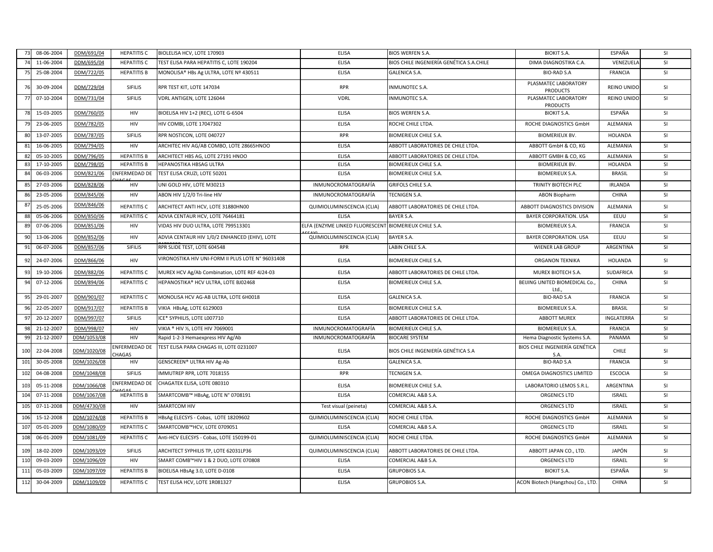|                | 08-06-2004 | DDM/691/04  | <b>HEPATITIS C</b>      | BIOLELISA HCV, LOTE 170903                        | <b>ELISA</b>                                          | BIOS WERFEN S.A.                         | <b>BIOKIT S.A.</b>                      | ESPAÑA             | <b>SI</b> |
|----------------|------------|-------------|-------------------------|---------------------------------------------------|-------------------------------------------------------|------------------------------------------|-----------------------------------------|--------------------|-----------|
|                | 11-06-2004 | DDM/695/04  | <b>HEPATITIS C</b>      | TEST ELISA PARA HEPATITIS C, LOTE 190204          | <b>ELISA</b>                                          | BIOS CHILE INGENIERÍA GENÉTICA S.A.CHILE | DIMA DIAGNOSTIKA C.A.                   | VENEZUELA          | <b>SI</b> |
|                | 25-08-2004 | DDM/722/05  | <b>HEPATITIS B</b>      | MONOLISA® HBs Ag ULTRA, LOTE Nº 430511            | <b>ELISA</b>                                          | GALENICA S.A.                            | <b>BIO-RAD S.A</b>                      | <b>FRANCIA</b>     | <b>SI</b> |
|                | 30-09-2004 | DDM/729/04  | SIFILIS                 | RPR TEST KIT, LOTE 147034                         | <b>RPR</b>                                            | <b>INMUNOTEC S.A.</b>                    | PLASMATEC LABORATORY<br><b>PRODUCTS</b> | <b>REINO UNIDO</b> | <b>SI</b> |
| 77             | 07-10-2004 | DDM/731/04  | <b>SIFILIS</b>          | VDRL ANTIGEN, LOTE 126044                         | VDRL                                                  | INMUNOTEC S.A.                           | PLASMATEC LABORATORY<br><b>PRODUCTS</b> | <b>REINO UNIDC</b> | <b>SI</b> |
|                | 15-03-2005 | DDM/760/05  | HIV                     | BIOELISA HIV 1+2 (REC), LOTE G-6504               | <b>ELISA</b>                                          | <b>BIOS WERFEN S.A.</b>                  | <b>BIOKIT S.A</b>                       | ESPAÑA             | SI        |
|                | 23-06-2005 | DDM/782/05  | <b>HIV</b>              | HIV COMBI, LOTE 17047302                          | <b>ELISA</b>                                          | ROCHE CHILE LTDA.                        | ROCHE DIAGNOSTICS GmbH                  | ALEMANIA           | SI        |
|                | 13-07-2005 | DDM/787/05  | <b>SIFILIS</b>          | RPR NOSTICON, LOTE 040727                         | <b>RPR</b>                                            | BIOMERIEUX CHILE S.A.                    | <b>BIOMERIEUX BV.</b>                   | HOLANDA            | SI        |
| R <sup>1</sup> | 16-06-2005 | DDM/794/05  | <b>HIV</b>              | ARCHITEC HIV AG/AB COMBO, LOTE 28665HNOO          | <b>ELISA</b>                                          | ABBOTT LABORATORIES DE CHILE LTDA.       | ABBOTT GmbH & CO. KG                    | ALEMANIA           | <b>SI</b> |
| -82            | 05-10-2005 | DDM/796/05  | <b>HEPATITIS B</b>      | ARCHITECT HBS AG, LOTE 27191 HNOO                 | <b>ELISA</b>                                          | ABBOTT LABORATORIES DE CHILE LTDA        | ABBOTT GMBH & CO, KG                    | ALEMANIA           | <b>SI</b> |
|                | 17-10-2005 | DDM/798/05  | <b>HEPATITIS B</b>      | HEPANOSTIKA HBSAG ULTRA                           | <b>ELISA</b>                                          | BIOMERIEUX CHILE S.A.                    | <b>BIOMERIEUX BV.</b>                   | <b>HOLANDA</b>     | SI        |
|                | 06-03-2006 | DDM/821/06  | NFERMEDAD DE            | TEST ELISA CRUZI, LOTE 50201                      | <b>ELISA</b>                                          | BIOMERIEUX CHILE S.A.                    | <b>BIOMERIEUX S.A.</b>                  | <b>BRASIL</b>      | <b>SI</b> |
| 85             | 27-03-2006 | DDM/828/06  | <b>HIV</b>              | UNI GOLD HIV, LOTE M30213                         | INMUNOCROMATOGRAFÍA                                   | <b>GRIFOLS CHILE S.A.</b>                | TRINITY BIOTECH PLC                     | <b>IRLANDA</b>     | <b>SI</b> |
|                | 23-05-2006 | DDM/845/06  | HIV                     | ABON HIV 1/2/0 Tri-line HIV                       | INMUNOCROMATOGRAFÍA                                   | TECNIGEN S.A.                            | <b>ABON Biopharm</b>                    | CHINA              | <b>SI</b> |
|                | 25-05-2006 | DDM/846/06  | <b>HEPATITIS C</b>      | ARCHITECT ANTI HCV, LOTE 31880HN00                | QUIMIOLUMINISCENCIA (CLIA)                            | ABBOTT LABORATORIES DE CHILE LTDA.       | ABBOTT DIAGNOSTICS DIVISION             | ALEMANIA           | <b>SI</b> |
| $\mathsf{R}$   | 05-06-2006 | DDM/850/06  | <b>HEPATITIS C</b>      | ADVIA CENTAUR HCV, LOTE 76464181                  | <b>ELISA</b>                                          | BAYER S.A.                               | <b>BAYER CORPORATION. USA</b>           | EEUU               | SI        |
| 89             | 07-06-2006 | DDM/851/06  | HIV                     | VIDAS HIV DUO ULTRA, LOTE 799513301               | ELFA (ENZYME LINKED FLUORESCENT BIOMERIEUX CHILE S.A. |                                          | <b>BIOMERIEUX S.A.</b>                  | <b>FRANCIA</b>     | <b>SI</b> |
| 90             | 13-06-2006 | DDM/852/06  | HIV                     | ADVIA CENTAUR HIV 1/0/2 ENHANCED (EHIV), LOTE     | QUIMIOLUMINISCENCIA (CLIA)                            | <b>BAYER S.A.</b>                        | <b>BAYER CORPORATION. USA</b>           | EEUU               | <b>SI</b> |
| <b>Q1</b>      | 06-07-2006 | DDM/857/06  | <b>SIFILIS</b>          | RPR SLIDE TEST, LOTE 604548                       | <b>RPR</b>                                            | LABIN CHILE S.A.                         | <b>WIENER LAB GROUP</b>                 | ARGENTINA          | SI        |
| 92             | 24-07-2006 | DDM/866/06  | HIV                     | VIRONOSTIKA HIV UNI-FORM II PLUS LOTE N° 96031408 | <b>ELISA</b>                                          | BIOMERIEUX CHILE S.A.                    | <b>ORGANON TEKNIKA</b>                  | HOLANDA            | SI        |
| ٩P             | 19-10-2006 | DDM/882/06  | <b>HEPATITIS C</b>      | MUREX HCV Ag/Ab Combination, LOTE REF 4J24-03     | <b>ELISA</b>                                          | ABBOTT LABORATORIES DE CHILE LTDA.       | MUREX BIOTECH S.A.                      | <b>SUDAFRICA</b>   | SI        |
| $Q_i$          | 07-12-2006 | DDM/894/06  | <b>HEPATITIS C</b>      | HEPANOSTIKA® HCV ULTRA, LOTE BJ02468              | <b>ELISA</b>                                          | BIOMERIEUX CHILE S.A.                    | BEIJING UNITED BIOMEDICAL Co.,<br>Ltd.  | <b>CHINA</b>       | SI        |
| 95             | 29-01-2007 | DDM/901/07  | <b>HEPATITIS C</b>      | MONOLISA HCV AG-AB ULTRA. LOTE 6H0018             | <b>ELISA</b>                                          | GALENICA S.A.                            | <b>BIO-RAD S.A</b>                      | <b>FRANCIA</b>     | <b>SI</b> |
| Qf             | 22-05-2007 | DDM/917/07  | <b>HEPATITIS B</b>      | VIKIA HBsAg, LOTE 6129003                         | <b>ELISA</b>                                          | <b>BIOMERIEUX CHILE S.A.</b>             | <b>BIOMERIEUX S.A</b>                   | <b>BRASIL</b>      | <b>SI</b> |
| d.             | 20-12-2007 | DDM/997/07  | <b>SIFILIS</b>          | ICE* SYPHILIS, LOTE L007710                       | <b>ELISA</b>                                          | ABBOTT LABORATORIES DE CHILE LTDA.       | <b>ABBOTT MUREX</b>                     | INGLATERRA         | <b>SI</b> |
| <b>qs</b>      | 21-12-2007 | DDM/998/07  | HIV                     | VIKIA ® HIV ½, LOTE HIV 7069001                   | INMUNOCROMATOGRAFÍA                                   | BIOMERIEUX CHILE S.A.                    | <b>BIOMERIEUX S.A</b>                   | <b>FRANCIA</b>     | SI        |
| 99             | 21-12-2007 | DDM/1053/08 | HIV                     | Rapid 1-2-3 Hemaexpress HIV Ag/Ab                 | INMUNOCROMATOGRAFÍA                                   | <b>BIOCARE SYSTEM</b>                    | Hema Diagnostic Systems S.A.            | PANAMA             | <b>SI</b> |
| 100            | 22-04-2008 | DDM/1020/08 | ENFERMEDAD DE<br>CHAGAS | TEST ELISA PARA CHAGAS III, LOTE 0231007          | <b>ELISA</b>                                          | BIOS CHILE INGENIERÍA GENÉTICA S.A       | BIOS CHILE INGENIERÍA GENÉTICA<br>S.A   | <b>CHILE</b>       | <b>SI</b> |
| 101            | 30-05-2008 | DDM/1026/08 | HIV                     | GENSCREEN® ULTRA HIV Ag-Ab                        | <b>ELISA</b>                                          | GALENICA S.A.                            | <b>BIO-RAD S.A</b>                      | <b>FRANCIA</b>     | <b>SI</b> |
| 102            | 04-08-2008 | DDM/1048/08 | <b>SIFILIS</b>          | IMMUTREP RPR, LOTE 7018155                        | <b>RPR</b>                                            | TECNIGEN S.A.                            | OMEGA DIAGNOSTICS LIMITED               | <b>ESCOCIA</b>     | <b>SI</b> |
| 103            | 05-11-2008 | DDM/1066/08 | <b>INFERMEDAD DE</b>    | CHAGATEK ELISA, LOTE 080310                       | <b>ELISA</b>                                          | BIOMERIEUX CHILE S.A.                    | LABORATORIO LEMOS S.R.L.                | ARGENTINA          | <b>SI</b> |
| 104            | 07-11-2008 | DDM/1067/08 | <b>HEPATITIS B</b>      | SMARTCOMB™ HBsAg, LOTE N° 0708191                 | <b>ELISA</b>                                          | COMERCIAL A&B S.A.                       | ORGENICS LTD                            | <b>ISRAEL</b>      | <b>SI</b> |
| 105            | 07-11-2008 | DDM/4730/08 | HIV                     | SMARTCOM HIV                                      | Test visual (peineta)                                 | COMERCIAL A&B S.A.                       | ORGENICS LTD                            | <b>ISRAEL</b>      | SI        |
| 106            | 15-12-2008 | DDM/1074/08 | <b>HEPATITIS B</b>      | HBsAg ELECSYS - Cobas, LOTE 18209602              | QUIMIOLUMINISCENCIA (CLIA)                            | ROCHE CHILE LTDA.                        | ROCHE DIAGNOSTICS GmbH                  | ALEMANIA           | SI        |
| 107            | 05-01-2009 | DDM/1080/09 | <b>HEPATITIS C</b>      | SMARTCOMB™HCV, LOTE 0709051                       | <b>ELISA</b>                                          | COMERCIAL A&B S.A.                       | ORGENICS LTD                            | <b>ISRAEL</b>      | <b>SI</b> |
| 108            | 06-01-2009 | DDM/1081/09 | <b>HEPATITIS C</b>      | Anti-HCV ELECSYS - Cobas, LOTE 150199-01          | QUIMIOLUMINISCENCIA (CLIA)                            | ROCHE CHILE LTDA.                        | ROCHE DIAGNOSTICS GmbH                  | ALEMANIA           | SI        |
| 109            | 18-02-2009 | DDM/1093/09 | SIFILIS                 | ARCHITECT SYPHILIS TP, LOTE 62031LP36             | QUIMIOLUMINISCENCIA (CLIA)                            | ABBOTT LABORATORIES DE CHILE LTDA        | ABBOTT JAPAN CO., LTD.                  | JAPÓN              | <b>SI</b> |
| 110            | 09-03-2009 | DDM/1096/09 | HIV                     | SMART COMB™HIV 1 & 2 DUO, LOTE 070808             | <b>ELISA</b>                                          | COMERCIAL A&B S.A.                       | ORGENICS LTD                            | <b>ISRAEL</b>      | SI        |
| 111            | 05-03-2009 | DDM/1097/09 | <b>HEPATITIS B</b>      | BIOELISA HBsAg 3.0, LOTE D-0108                   | <b>ELISA</b>                                          | <b>GRUPOBIOS S.A.</b>                    | <b>BIOKIT S.A.</b>                      | ESPAÑA             | <b>SI</b> |
| 112            | 30-04-2009 | DDM/1109/09 | <b>HEPATITIS C</b>      | TEST ELISA HCV, LOTE 1R081327                     | <b>ELISA</b>                                          | <b>GRUPOBIOS S.A.</b>                    | ACON Biotech (Hangzhou) Co., LTD.       | <b>CHINA</b>       | <b>SI</b> |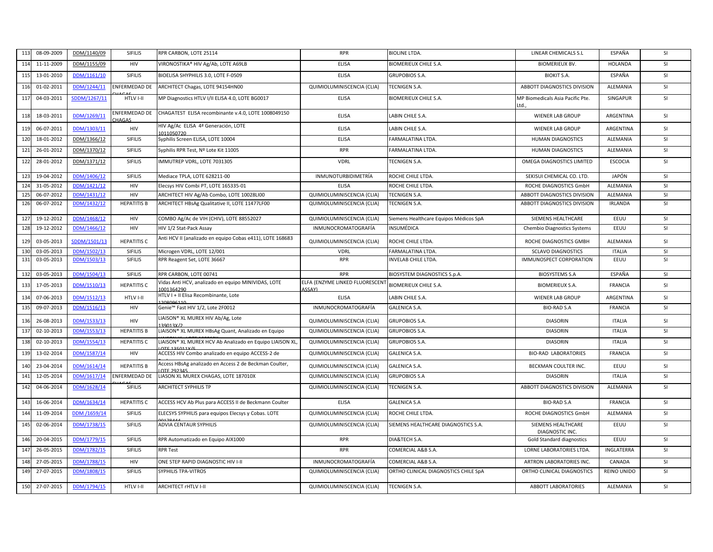| 11 <sup>3</sup> | 08-09-2009 | DDM/1140/09  | <b>SIFILIS</b>          | RPR CARBON, LOTE 25114                                            | <b>RPR</b>                                       | BIOLINE LTDA.                          | LINEAR CHEMICALS S.L                  | ESPAÑA         | SI        |
|-----------------|------------|--------------|-------------------------|-------------------------------------------------------------------|--------------------------------------------------|----------------------------------------|---------------------------------------|----------------|-----------|
| 114             | 11-11-2009 | DDM/1155/09  | <b>HIV</b>              | VIRONOSTIKA® HIV Ag/Ab, LOTE A69LB                                | <b>ELISA</b>                                     | BIOMERIEUX CHILE S.A.                  | <b>BIOMERIEUX BV.</b>                 | <b>HOLANDA</b> | <b>SI</b> |
| 115             | 13-01-2010 | DDM/1161/10  | <b>SIFILIS</b>          | BIOELISA SHYPHILIS 3.0, LOTE F-0509                               | <b>ELISA</b>                                     | <b>GRUPOBIOS S.A.</b>                  | <b>BIOKIT S.A.</b>                    | ESPAÑA         | SI        |
| 116             | 01-02-2011 | DDM/1244/11  | <b>ENFERMEDAD DE</b>    | ARCHITECT Chagas, LOTE 94154HN00                                  | QUIMIOLUMINISCENCIA (CLIA)                       | TECNIGEN S.A.                          | ABBOTT DIAGNOSTICS DIVISION           | ALEMANIA       | SI        |
| 11              | 04-03-2011 | SDDM/1267/11 | HTLV I-II               | MP Diagnostics HTLV I/II ELISA 4.0, LOTE BG0017                   | <b>ELISA</b>                                     | BIOMERIEUX CHILE S.A.                  | MP Biomedicals Asia Pacific Pte.      | SINGAPUR       | SI        |
| 118             | 18-03-2011 | DDM/1269/11  | ENFERMEDAD DE<br>`HAGAS | CHAGATEST ELISA recombinante v.4.0, LOTE 1008049150               | <b>ELISA</b>                                     | LABIN CHILE S.A.                       | <b>WIENER LAB GROUP</b>               | ARGENTINA      | SI        |
| 119             | 06-07-2011 | DDM/1303/11  | HIV                     | HIV Ag/Ac ELISA 4ª Generación, LOTE<br>1011050720                 | <b>ELISA</b>                                     | LABIN CHILE S.A.                       | WIENER LAB GROUP                      | ARGENTINA      | SI        |
| 120             | 18-01-2012 | DDM/1366/12  | <b>SIFILIS</b>          | Syphilis Screen ELISA, LOTE 10004                                 | <b>ELISA</b>                                     | FARMALATINA LTDA.                      | HUMAN DIAGNOSTICS                     | ALEMANIA       | <b>SI</b> |
| 121             | 26-01-2012 | DDM/1370/12  | <b>SIFILIS</b>          | Syphilis RPR Test, Nº Lote Kit 11005                              | <b>RPR</b>                                       | FARMALATINA LTDA.                      | HUMAN DIAGNOSTICS                     | ALEMANIA       | SI        |
| 122             | 28-01-2012 | DDM/1371/12  | SIFILIS                 | IMMUTREP VDRL, LOTE 7031305                                       | <b>VDRL</b>                                      | TECNIGEN S.A.                          | OMEGA DIAGNOSTICS LIMITED             | <b>ESCOCIA</b> | <b>SI</b> |
| 123             | 19-04-2012 | DDM/1406/12  | SIFILIS                 | Mediace TPLA, LOTE 628211-00                                      | <b>INMUNOTURBIDIMETRÍA</b>                       | ROCHE CHILE LTDA.                      | SEKISUI CHEMICAL CO. LTD.             | JAPÓN          | SI        |
| 124             | 31-05-2012 | DDM/1421/12  | HIV                     | Elecsys HIV Combi PT, LOTE 165335-01                              | <b>ELISA</b>                                     | ROCHE CHILE LTDA.                      | ROCHE DIAGNOSTICS GmbH                | ALEMANIA       | <b>SI</b> |
| 12!             | 06-07-2012 | DDM/1431/12  | HIV                     | ARCHITECT HIV Ag/Ab Combo, LOTE 10028LI00                         | QUIMIOLUMINISCENCIA (CLIA)                       | TECNIGEN S.A.                          | ABBOTT DIAGNOSTICS DIVISION           | ALEMANIA       | SI        |
| 126             | 06-07-2012 | DDM/1432/12  | <b>HEPATITIS B</b>      | ARCHITECT HBsAg Qualitative II, LOTE 11477LF00                    | QUIMIOLUMINISCENCIA (CLIA)                       | TECNIGEN S.A.                          | ABBOTT DIAGNOSTICS DIVISION           | <b>IRLANDA</b> | SI        |
| 127             | 19-12-2012 | DDM/1468/12  | HIV                     | COMBO Ag/Ac de VIH (CHIV), LOTE 88552027                          | QUIMIOLUMINISCENCIA (CLIA)                       | Siemens Healthcare Equipos Médicos SpA | SIEMENS HEALTHCARE                    | EEUU           | SI        |
| 128             | 19-12-2012 | DDM/1466/12  | HIV                     | HIV 1/2 Stat-Pack Assay                                           | INMUNOCROMATOGRAFÍA                              | INSUMÉDICA                             | <b>Chembio Diagnostics Systems</b>    | EEUU           | <b>SI</b> |
| 129             | 03-05-2013 | SDDM/1501/13 | <b>HEPATITIS C</b>      | Anti HCV II (analizado en equipo Cobas e411), LOTE 168683         | QUIMIOLUMINISCENCIA (CLIA)                       | ROCHE CHILE LTDA.                      | ROCHE DIAGNOSTICS GMBH                | ALEMANIA       | SI        |
| 13(             | 03-05-2013 | DDM/1502/13  | <b>SIFILIS</b>          | Microgen VDRL, LOTE 12/001                                        | VDRL                                             | FARMALATINA LTDA                       | <b>SCLAVO DIAGNOSTICS</b>             | <b>ITALIA</b>  | SI        |
| 131             | 03-05-2013 | DDM/1503/13  | <b>SIFILIS</b>          | RPR Reagent Set, LOTE 36667                                       | <b>RPR</b>                                       | INVELAB CHILE LTDA.                    | IMMUNOSPECT CORPORATION               | EEUU           | <b>SI</b> |
|                 |            |              |                         |                                                                   |                                                  |                                        |                                       |                |           |
| 132             | 03-05-2013 | DDM/1504/13  | SIFILIS                 | RPR CARBON, LOTE 00741                                            | <b>RPR</b>                                       | BIOSYSTEM DIAGNOSTICS S.p.A.           | <b>BIOSYSTEMS S.A</b>                 | ESPAÑA         | SI        |
| 133             | 17-05-2013 | DDM/1510/13  | <b>HEPATITIS C</b>      | Vidas Anti HCV, analizado en equipo MINIVIDAS, LOTE<br>1001364290 | ELFA (ENZYME LINKED FLUORESCENT<br><b>ASSAY)</b> | BIOMERIEUX CHILE S.A.                  | <b>BIOMERIEUX S.A.</b>                | <b>FRANCIA</b> | SI        |
| 134             | 07-06-2013 | DDM/1512/13  | HTLV I-II               | HTLV I + II Elisa Recombinante, Lote<br>208096110                 | <b>ELISA</b>                                     | LABIN CHILE S.A.                       | <b>WIENER LAB GROUP</b>               | ARGENTINA      | SI        |
| 135             | 09-07-2013 | DDM/1516/13  | HIV                     | Genie™ Fast HIV 1/2, Lote 2F0012                                  | INMUNOCROMATOGRAFÍA                              | GALENICA S.A.                          | <b>BIO-RAD S.A</b>                    | <b>FRANCIA</b> | SI        |
| 136             | 26-08-2013 | DDM/1533/13  | HIV                     | LIAISON® XL MUREX HIV Ab/Ag, Lote<br>139013X/2                    | QUIMIOLUMINISCENCIA (CLIA)                       | <b>GRUPOBIOS S.A.</b>                  | <b>DIASORIN</b>                       | <b>ITALIA</b>  | <b>SI</b> |
| 13 <sup>2</sup> | 02-10-2013 | DDM/1553/13  | <b>HEPATITIS B</b>      | LIAISON® XL MUREX HBsAg Quant, Analizado en Equipo                | QUIMIOLUMINISCENCIA (CLIA)                       | <b>GRUPOBIOS S.A.</b>                  | <b>DIASORIN</b>                       | <b>ITALIA</b>  | SI        |
| 138             | 02-10-2013 | DDM/1554/13  | <b>HEPATITIS C</b>      | LIAISON® XL MUREX HCV Ab Analizado en Equipo LIAISON XL           | QUIMIOLUMINISCENCIA (CLIA)                       | <b>GRUPOBIOS S.A.</b>                  | <b>DIASORIN</b>                       | <b>ITALIA</b>  | SI        |
| 139             | 13-02-2014 | DDM/1587/14  | HIV                     | QTT 12E011V<br>ACCESS HIV Combo analizado en equipo ACCESS-2 de   | QUIMIOLUMINISCENCIA (CLIA)                       | GALENICA S.A.                          | <b>BIO-RAD LABORATORIES</b>           | <b>FRANCIA</b> | <b>SI</b> |
| 140             | 23-04-2014 | DDM/1614/14  | <b>HEPATITIS B</b>      | Access HBsAg analizado en Access 2 de Beckman Coulter,            | QUIMIOLUMINISCENCIA (CLIA)                       | GALENICA S.A.                          | BECKMAN COULTER INC.                  | EEUU           | SI        |
| 14 <sup>°</sup> | 12-05-2014 | DDM/1617/14  | <b>ENFERMEDAD DE</b>    | OTF 29234<br>LIASON XL MUREX CHAGAS, LOTE 187010X                 | QUIMIOLUMINISCENCIA (CLIA)                       | <b>GRUPOBIOS S.A</b>                   | <b>DIASORIN</b>                       | <b>ITALIA</b>  | SI        |
| 142             | 04-06-2014 | DDM/1628/14  | <b>SIFILIS</b>          | <b>ARCHITECT SYPHILIS TP</b>                                      | QUIMIOLUMINISCENCIA (CLIA)                       | TECNIGEN S.A.                          | ABBOTT DIAGNOSTICS DIVISION           | ALEMANIA       | <b>SI</b> |
| 143             | 16-06-2014 | DDM/1634/14  | <b>HEPATITIS C</b>      | ACCESS HCV Ab Plus para ACCESS II de Beckmann Coulter             | <b>ELISA</b>                                     | <b>GALENICA S.A</b>                    | <b>BIO-RAD S.A</b>                    | <b>FRANCIA</b> | SI        |
| 144             | 11-09-2014 | DDM /1659/14 | <b>SIFILIS</b>          | ELECSYS SYPHILIS para equipos Elecsys y Cobas. LOTE               | QUIMIOLUMINISCENCIA (CLIA)                       | ROCHE CHILE LTDA.                      | ROCHE DIAGNOSTICS GmbH                | ALEMANIA       | SI        |
| 145             | 02-06-2014 | DDM/1738/15  | SIFILIS                 | ADVIA CENTAUR SYPHILIS                                            | QUIMIOLUMINISCENCIA (CLIA)                       | SIEMENS HEALTHCARE DIAGNOSTICS S.A.    | SIEMENS HEALTHCARE<br>DIAGNOSTIC INC. | EEUU           | SI        |
| 146             | 20-04-2015 | DDM/1779/15  | SIFILIS                 | RPR Automatizado en Equipo AIX1000                                | <b>RPR</b>                                       | DIA&TECH S.A.                          | <b>Gold Standard diagnostics</b>      | EEUU           | <b>SI</b> |
| 14              | 26-05-2015 | DDM/1782/15  | <b>SIFILIS</b>          | <b>RPR Test</b>                                                   | <b>RPR</b>                                       | COMERCIAL A&B S.A.                     | LORNE LABORATORIES LTDA.              | INGLATERRA     | <b>SI</b> |
| 148             | 27-05-2015 | DDM/1788/15  | <b>HIV</b>              | ONE STEP RAPID DIAGNOSTIC HIV I-II                                | INMUNOCROMATOGRAFÍA                              | COMERCIAL A&B S.A.                     | ARTRON LABORATORIES INC.              | CANADA         | SI        |
| 149             | 27-07-2015 | DDM/1808/15  | <b>SIFILIS</b>          | SYPHILIS TPA-VITROS                                               | QUIMIOLUMINISCENCIA (CLIA)                       | ORTHO CLINICAL DIAGNOSTICS CHILE SpA   | ORTHO CLINICAL DIAGNOSTICS            | REINO UNIDO    | SI        |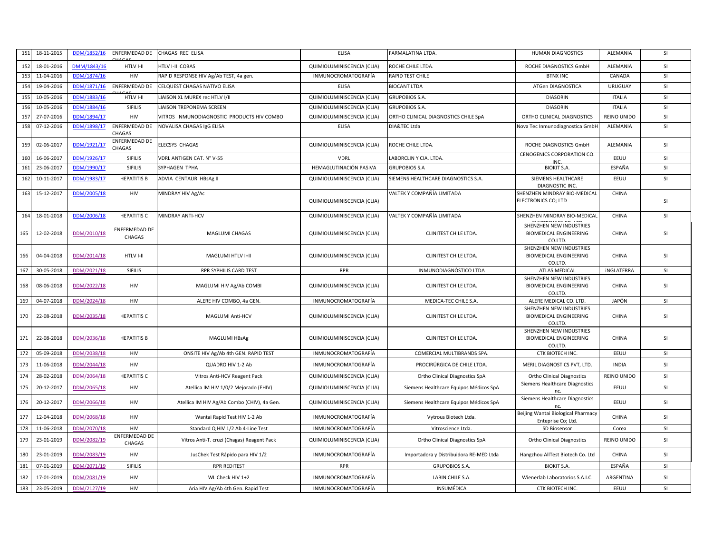| 151 | 18-11-2015 | DDM/1852/16 | ENFERMEDAD DE                  | CHAGAS REC ELISA                            | <b>ELISA</b>               | FARMALATINA LTDA.                       | HUMAN DIAGNOSTICS                                                   | ALEMANIA          | <b>SI</b> |
|-----|------------|-------------|--------------------------------|---------------------------------------------|----------------------------|-----------------------------------------|---------------------------------------------------------------------|-------------------|-----------|
| 152 | 18-01-2016 | DMM/1843/16 | HTLV I-II                      | HTLV I-II COBAS                             | QUIMIOLUMINISCENCIA (CLIA) | ROCHE CHILE LTDA.                       | ROCHE DIAGNOSTICS GmbH                                              | ALEMANIA          | <b>SI</b> |
| 153 | 11-04-2016 | DDM/1874/16 | HIV                            | RAPID RESPONSE HIV Ag/Ab TEST, 4a gen.      | INMUNOCROMATOGRAFÍA        | RAPID TEST CHILE                        | <b>BTNX INC</b>                                                     | CANADA            | <b>SI</b> |
| 154 | 19-04-2016 | DDM/1871/16 | ENFERMEDAD DE                  | CELQUEST CHAGAS NATIVO ELISA                | <b>ELISA</b>               | <b>BIOCANT LTDA</b>                     | ATGen DIAGNOSTICA                                                   | URUGUAY           | SI        |
| 155 | 10-05-2016 | DDM/1883/16 | HTLV I-II                      | LIAISON XL MUREX rec HTLV I/II              | QUIMIOLUMINISCENCIA (CLIA) | <b>GRUPOBIOS S.A.</b>                   | <b>DIASORIN</b>                                                     | <b>ITALIA</b>     | SI        |
| 156 | 10-05-2016 | DDM/1884/16 | <b>SIFILIS</b>                 | LIAISON TREPONEMA SCREEN                    | QUIMIOLUMINISCENCIA (CLIA) | <b>GRUPOBIOS S.A.</b>                   | <b>DIASORIN</b>                                                     | <b>ITALIA</b>     | SI        |
| 157 | 27-07-2016 | DDM/1894/17 | HIV                            | VITROS INMUNODIAGNOSTIC PRODUCTS HIV COMBO  | QUIMIOLUMINISCENCIA (CLIA) | ORTHO CLINICAL DIAGNOSTICS CHILE SpA    | ORTHO CLINICAL DIAGNOSTICS                                          | REINO UNIDO       | SI        |
| 158 | 07-12-2016 | DDM/1898/17 | ENFERMEDAD DE<br>CHAGAS        | NOVALISA CHAGAS IgG ELISA                   | <b>ELISA</b>               | DIA&TEC Ltda                            | Nova Tec Inmunodiagnostica GmbH                                     | ALEMANIA          | <b>SI</b> |
| 159 | 02-06-2017 | DDM/1921/17 | <b>INFERMEDAD DE</b><br>CHAGAS | ELECSYS CHAGAS                              | QUIMIOLUMINISCENCIA (CLIA) | ROCHE CHILE LTDA.                       | ROCHE DIAGNOSTICS GmbH                                              | ALEMANIA          | <b>SI</b> |
| 160 | 16-06-2017 | DDM/1926/17 | SIFILIS                        | <b>VDRL ANTIGEN CAT. N° V-55</b>            | <b>VDRL</b>                | LABORCLIN Y CIA. LTDA.                  | CENOGENICS CORPORATION CO.<br><b>INC</b>                            | EEUU              | <b>SI</b> |
| 161 | 23-06-2017 | DDM/1990/17 | <b>SIFILIS</b>                 | SYPHAGEN TPHA                               | HEMAGLUTINACIÓN PASIVA     | <b>GRUPOBIOS S.A</b>                    | <b>BIOKIT S.A.</b>                                                  | ESPAÑA            | SI        |
| 162 | 10-11-2017 | DDM/1983/17 | <b>HEPATITIS B</b>             | ADVIA CENTAUR HBsAg II                      | QUIMIOLUMINISCENCIA (CLIA) | SIEMENS HEALTHCARE DIAGNOSTICS S.A.     | SIEMENS HEALTHCARE<br>DIAGNOSTIC INC.                               | EEUU              | <b>SI</b> |
| 163 | 15-12-2017 | DDM/2005/18 | HIV                            | MINDRAY HIV Ag/Ac                           | QUIMIOLUMINISCENCIA (CLIA) | VALTEK Y COMPAÑÍA LIMITADA              | SHENZHEN MINDRAY BIO-MEDICAL<br>ELECTRONICS CO; LTD                 | CHINA             | SI        |
| 164 | 18-01-2018 | DDM/2006/18 | <b>HEPATITIS C</b>             | MINDRAY ANTI-HCV                            | QUIMIOLUMINISCENCIA (CLIA) | VALTEK Y COMPAÑÍA LIMITADA              | SHENZHEN MINDRAY BIO-MEDICAL                                        | CHINA             | <b>SI</b> |
| 165 | 12-02-2018 | DDM/2010/18 | <b>ENFERMEDAD DE</b><br>CHAGAS | MAGLUMI CHAGAS                              | QUIMIOLUMINISCENCIA (CLIA) | CLINITEST CHILE LTDA.                   | SHENZHEN NEW INDUSTRIES<br><b>BIOMEDICAL ENGINEERING</b><br>CO.LTD. | CHINA             | SI        |
| 166 | 04-04-2018 | DDM/2014/18 | HTLV I-II                      | MAGLUMI HTLV I+II                           | QUIMIOLUMINISCENCIA (CLIA) | CLINITEST CHILE LTDA.                   | SHENZHEN NEW INDUSTRIES<br><b>BIOMEDICAL ENGINEERING</b><br>CO.LTD. | CHINA             | SI        |
| 167 | 30-05-2018 | DDM/2021/18 | <b>SIFILIS</b>                 | RPR SYPHILIS CARD TEST                      | <b>RPR</b>                 | INMUNODIAGNÓSTICO LTDA                  | <b>ATLAS MEDICAL</b>                                                | <b>iNGLATERRA</b> | <b>SI</b> |
| 168 | 08-06-2018 | DDM/2022/18 | HIV                            | MAGLUMI HIV Ag/Ab COMBI                     | QUIMIOLUMINISCENCIA (CLIA) | CLINITEST CHILE LTDA.                   | SHENZHEN NEW INDUSTRIES<br><b>BIOMEDICAL ENGINEERING</b><br>CO.LTD. | CHINA             | SI        |
| 169 | 04-07-2018 | DDM/2024/18 | HIV                            | ALERE HIV COMBO, 4a GEN.                    | <b>INMUNOCROMATOGRAFÍA</b> | MEDICA-TEC CHILE S.A.                   | ALERE MEDICAL CO. LTD.                                              | JAPÓN             | <b>SI</b> |
| 170 | 22-08-2018 | DDM/2035/18 | <b>HEPATITIS C</b>             | MAGLUMI Anti-HCV                            | QUIMIOLUMINISCENCIA (CLIA) | CLINITEST CHILE LTDA.                   | SHENZHEN NEW INDUSTRIES<br><b>BIOMEDICAL ENGINEERING</b><br>CO.LTD. | CHINA             | SI        |
| 171 | 22-08-2018 | DDM/2036/18 | <b>HEPATITIS B</b>             | MAGLUMI HBsAg                               | QUIMIOLUMINISCENCIA (CLIA) | CLINITEST CHILE LTDA.                   | SHENZHEN NEW INDUSTRIES<br><b>BIOMEDICAL ENGINEERING</b><br>CO.LTD. | CHINA             | SI        |
| 172 | 05-09-2018 | DDM/2038/18 | HIV                            | ONSITE HIV Ag/Ab 4th GEN. RAPID TEST        | INMUNOCROMATOGRAFÍA        | COMERCIAL MULTIBRANDS SPA               | CTK BIOTECH INC.                                                    | EEUU              | SI        |
| 173 | 11-06-2018 | DDM/2044/18 | HIV                            | QUADRO HIV 1-2 Ab                           | INMUNOCROMATOGRAFÍA        | PROCIRÚRGICA DE CHILE LTDA.             | MERIL DIAGNOSTICS PVT, LTD.                                         | <b>INDIA</b>      | <b>SI</b> |
| 174 | 28-02-2018 | DDM/2064/18 | <b>HEPATITIS C</b>             | Vitros Anti-HCV Reagent Pack                | QUIMIOLUMINISCENCIA (CLIA) | Ortho Clinical Diagnostics SpA          | <b>Ortho Clinical Diagnostics</b>                                   | REINO UNIDO       | <b>SI</b> |
| 175 | 20-12-2017 | DDM/2065/18 | HIV                            | Atellica IM HIV 1/0/2 Mejorado (EHIV)       | QUIMIOLUMINISCENCIA (CLIA) | Siemens Healthcare Equipos Médicos SpA  | Siemens Healthcare Diagnostics<br>Inc.                              | EEUU              | SI        |
| 176 | 20-12-2017 | DDM/2066/18 | HIV                            | Atellica IM HIV Ag/Ab Combo (CHIV), 4a Gen. | QUIMIOLUMINISCENCIA (CLIA) | Siemens Healthcare Equipos Médicos SpA  | Siemens Healthcare Diagnostics<br>Inc.                              | EEUU              | SI        |
| 177 | 12-04-2018 | DDM/2068/18 | HIV                            | Wantai Rapid Test HIV 1-2 Ab                | INMUNOCROMATOGRAFÍA        | Vytrous Biotech Ltda.                   | Beijing Wantai Biological Pharmacy<br>Enteprise Co; Ltd.            | CHINA             | SI        |
| 178 | 11-06-2018 | DDM/2070/18 | HIV                            | Standard Q HIV 1/2 Ab 4-Line Test           | INMUNOCROMATOGRAFÍA        | Vitroscience Ltda.                      | SD Biosensor                                                        | Corea             | SI        |
| 179 | 23-01-2019 | DDM/2082/19 | <b>ENFERMEDAD DE</b><br>CHAGAS | Vitros Anti-T. cruzi (Chagas) Reagent Pack  | QUIMIOLUMINISCENCIA (CLIA) | Ortho Clinical Diagnostics SpA          | <b>Ortho Clinical Diagnostics</b>                                   | REINO UNIDO       | <b>SI</b> |
| 180 | 23-01-2019 | DDM/2083/19 | HIV                            | JusChek Test Rápido para HIV 1/2            | INMUNOCROMATOGRAFÍA        | Importadora y Distribuidora RE-MED Ltda | Hangzhou AllTest Biotech Co. Ltd                                    | CHINA             | <b>SI</b> |
| 181 | 07-01-2019 | DDM/2071/19 | <b>SIFILIS</b>                 | <b>RPR REDITEST</b>                         | <b>RPR</b>                 | <b>GRUPOBIOS S.A.</b>                   | <b>BIOKIT S.A.</b>                                                  | ESPAÑA            | SI        |
| 182 | 17-01-2019 | DDM/2081/19 | HIV                            | WL Check HIV 1+2                            | INMUNOCROMATOGRAFÍA        | LABIN CHILE S.A.                        | Wienerlab Laboratorios S.A.I.C.                                     | ARGENTINA         | SI        |
| 183 | 23-05-2019 | DDM/2127/19 | HIV                            | Aria HIV Ag/Ab 4th Gen. Rapid Test          | INMUNOCROMATOGRAFÍA        | INSUMÉDICA                              | CTK BIOTECH INC.                                                    | EEUU              | <b>SI</b> |